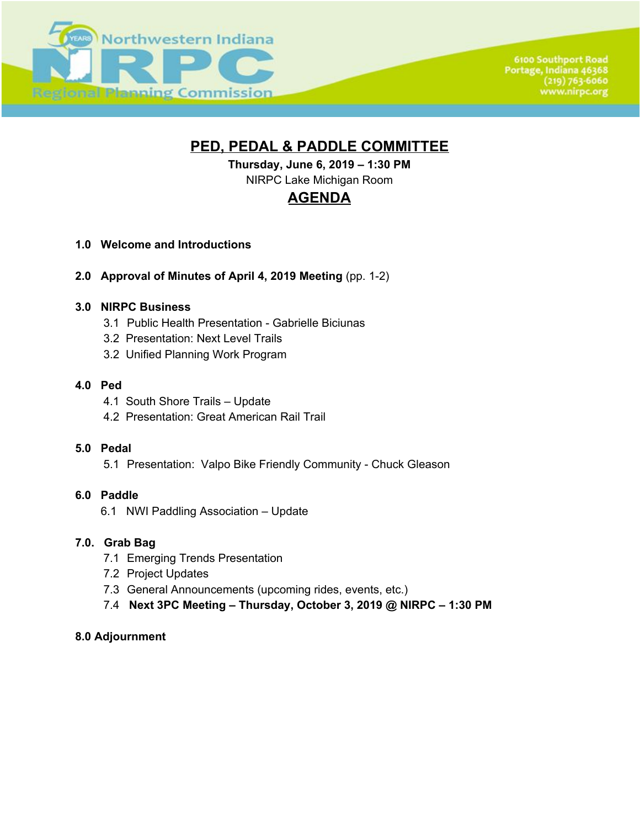

**6100 Southport Road** Portage, Indiana 46368  $(219) 763 - 6060$ www.nirpc.org

# **PED, PEDAL & PADDLE COMMITTEE**

**Thursday, June 6, 2019 – 1:30 PM** NIRPC Lake Michigan Room

# **AGENDA**

- **1.0 Welcome and Introductions**
- **2.0 Approval of Minutes of April 4, 2019 Meeting** (pp. 1-2)

## **3.0 NIRPC Business**

- 3.1 Public Health Presentation Gabrielle Biciunas
- 3.2 Presentation: Next Level Trails
- 3.2 Unified Planning Work Program

#### **4.0 Ped**

- 4.1 South Shore Trails Update
- 4.2 Presentation: Great American Rail Trail

#### **5.0 Pedal**

5.1 Presentation: Valpo Bike Friendly Community - Chuck Gleason

#### **6.0 Paddle**

6.1 NWI Paddling Association – Update

#### **7.0. Grab Bag**

- 7.1 Emerging Trends Presentation
- 7.2 Project Updates
- 7.3 General Announcements (upcoming rides, events, etc.)
- 7.4 **Next 3PC Meeting Thursday, October 3, 2019 @ NIRPC 1:30 PM**

#### **8.0 Adjournment**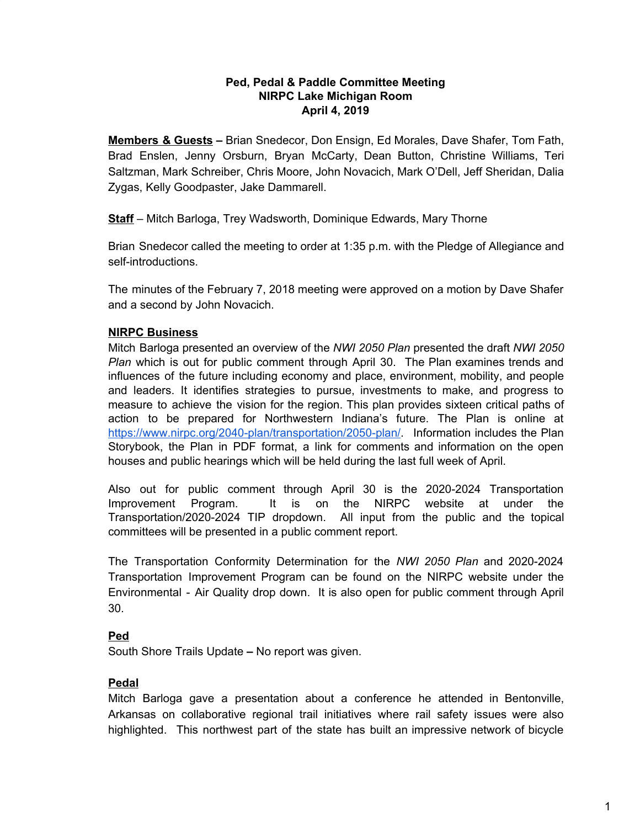#### **Ped, Pedal & Paddle Committee Meeting NIRPC Lake Michigan Room April 4, 2019**

**Members & Guests –** Brian Snedecor, Don Ensign, Ed Morales, Dave Shafer, Tom Fath, Brad Enslen, Jenny Orsburn, Bryan McCarty, Dean Button, Christine Williams, Teri Saltzman, Mark Schreiber, Chris Moore, John Novacich, Mark O'Dell, Jeff Sheridan, Dalia Zygas, Kelly Goodpaster, Jake Dammarell.

**Staff** – Mitch Barloga, Trey Wadsworth, Dominique Edwards, Mary Thorne

Brian Snedecor called the meeting to order at 1:35 p.m. with the Pledge of Allegiance and self-introductions.

The minutes of the February 7, 2018 meeting were approved on a motion by Dave Shafer and a second by John Novacich.

## **NIRPC Business**

Mitch Barloga presented an overview of the *NWI 2050 Plan* presented the draft *NWI 2050 Plan* which is out for public comment through April 30. The Plan examines trends and influences of the future including economy and place, environment, mobility, and people and leaders. It identifies strategies to pursue, investments to make, and progress to measure to achieve the vision for the region. This plan provides sixteen critical paths of action to be prepared for Northwestern Indiana's future. The Plan is online at <https://www.nirpc.org/2040-plan/transportation/2050-plan/>. Information includes the Plan Storybook, the Plan in PDF format, a link for comments and information on the open houses and public hearings which will be held during the last full week of April.

Also out for public comment through April 30 is the 2020-2024 Transportation Improvement Program. It is on the NIRPC website at under the Transportation/2020-2024 TIP dropdown. All input from the public and the topical committees will be presented in a public comment report.

The Transportation Conformity Determination for the *NWI 2050 Plan* and 2020-2024 Transportation Improvement Program can be found on the NIRPC website under the Environmental - Air Quality drop down. It is also open for public comment through April 30.

#### **Ped**

South Shore Trails Update **–** No report was given.

#### **Pedal**

Mitch Barloga gave a presentation about a conference he attended in Bentonville, Arkansas on collaborative regional trail initiatives where rail safety issues were also highlighted. This northwest part of the state has built an impressive network of bicycle